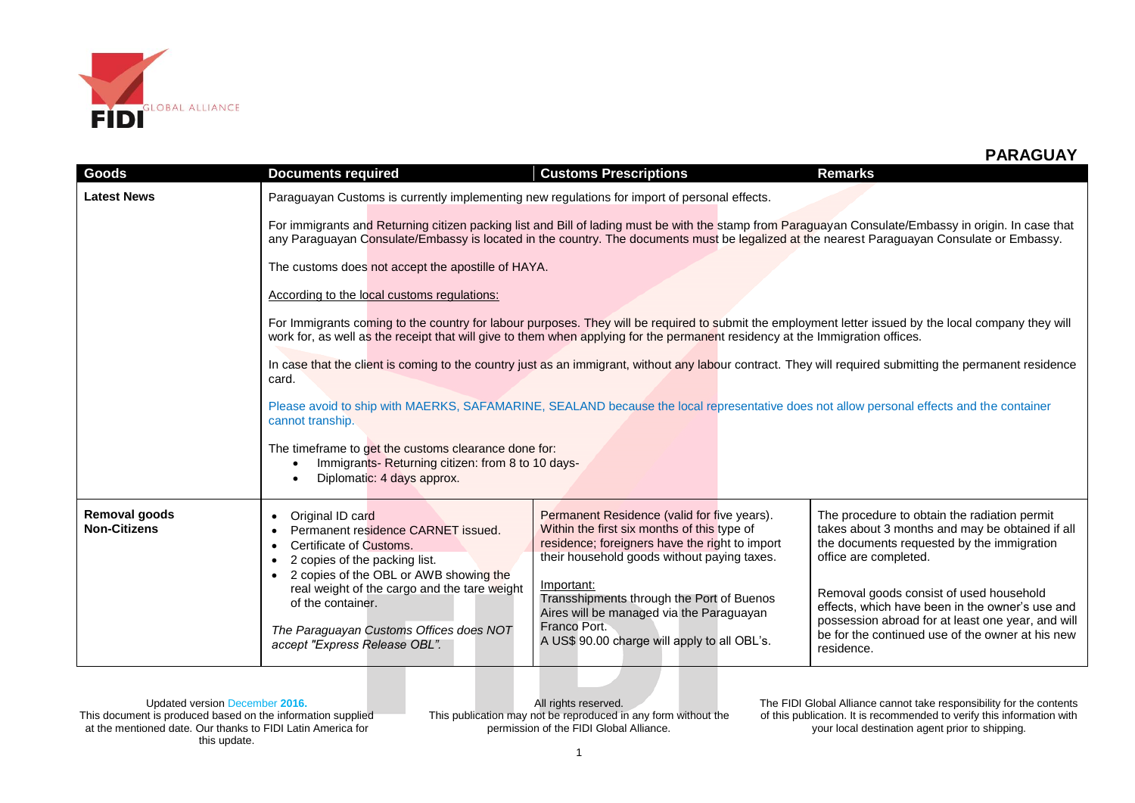

| Goods                                | <b>Documents required</b>                                                                                                                                                                                                                                                              | <b>Customs Prescriptions</b>                                                                                                                                                                                                                                                                         | <b>Remarks</b>                                                                                                                                                                                                    |  |  |
|--------------------------------------|----------------------------------------------------------------------------------------------------------------------------------------------------------------------------------------------------------------------------------------------------------------------------------------|------------------------------------------------------------------------------------------------------------------------------------------------------------------------------------------------------------------------------------------------------------------------------------------------------|-------------------------------------------------------------------------------------------------------------------------------------------------------------------------------------------------------------------|--|--|
| <b>Latest News</b>                   | Paraguayan Customs is currently implementing new regulations for import of personal effects.                                                                                                                                                                                           |                                                                                                                                                                                                                                                                                                      |                                                                                                                                                                                                                   |  |  |
|                                      |                                                                                                                                                                                                                                                                                        | For immigrants and Returning citizen packing list and Bill of lading must be with the stamp from Paraguayan Consulate/Embassy in origin. In case that<br>any Paraguayan Consulate/Embassy is located in the country. The documents must be legalized at the nearest Paraguayan Consulate or Embassy. |                                                                                                                                                                                                                   |  |  |
|                                      | The customs does not accept the apostille of HAYA.                                                                                                                                                                                                                                     |                                                                                                                                                                                                                                                                                                      |                                                                                                                                                                                                                   |  |  |
|                                      | According to the local customs regulations:                                                                                                                                                                                                                                            |                                                                                                                                                                                                                                                                                                      |                                                                                                                                                                                                                   |  |  |
|                                      | For Immigrants coming to the country for labour purposes. They will be required to submit the employment letter issued by the local company they will<br>work for, as well as the receipt that will give to them when applying for the permanent residency at the Immigration offices. |                                                                                                                                                                                                                                                                                                      |                                                                                                                                                                                                                   |  |  |
|                                      | In case that the client is coming to the country just as an immigrant, without any labour contract. They will required submitting the permanent residence<br>card.                                                                                                                     |                                                                                                                                                                                                                                                                                                      |                                                                                                                                                                                                                   |  |  |
|                                      | cannot tranship.                                                                                                                                                                                                                                                                       | Please avoid to ship with MAERKS, SAFAMARINE, SEALAND because the local representative does not allow personal effects and the container                                                                                                                                                             |                                                                                                                                                                                                                   |  |  |
|                                      | The timeframe to get the customs clearance done for:<br>Immigrants-Returning citizen: from 8 to 10 days-<br>Diplomatic: 4 days approx.                                                                                                                                                 |                                                                                                                                                                                                                                                                                                      |                                                                                                                                                                                                                   |  |  |
| Removal goods<br><b>Non-Citizens</b> | Original ID card<br>$\bullet$<br>Permanent residence CARNET issued.<br>$\bullet$<br>Certificate of Customs.<br>$\bullet$<br>2 copies of the packing list.                                                                                                                              | Permanent Residence (valid for five years).<br>Within the first six months of this type of<br>residence; foreigners have the right to import<br>their household goods without paying taxes.                                                                                                          | The procedure to obtain the radiation permit<br>takes about 3 months and may be obtained if all<br>the documents requested by the immigration<br>office are completed.                                            |  |  |
|                                      | 2 copies of the OBL or AWB showing the<br>real weight of the cargo and the tare weight<br>of the container.<br>The Paraguayan Customs Offices does NOT<br>accept "Express Release OBL".                                                                                                | Important:<br>Transshipments through the Port of Buenos<br>Aires will be managed via the Paraguayan<br>Franco Port.<br>A US\$ 90.00 charge will apply to all OBL's.                                                                                                                                  | Removal goods consist of used household<br>effects, which have been in the owner's use and<br>possession abroad for at least one year, and will<br>be for the continued use of the owner at his new<br>residence. |  |  |

Updated version December **2016.** This document is produced based on the information supplied at the mentioned date. Our thanks to FIDI Latin America for this update.

All rights reserved. This publication may not be reproduced in any form without the permission of the FIDI Global Alliance.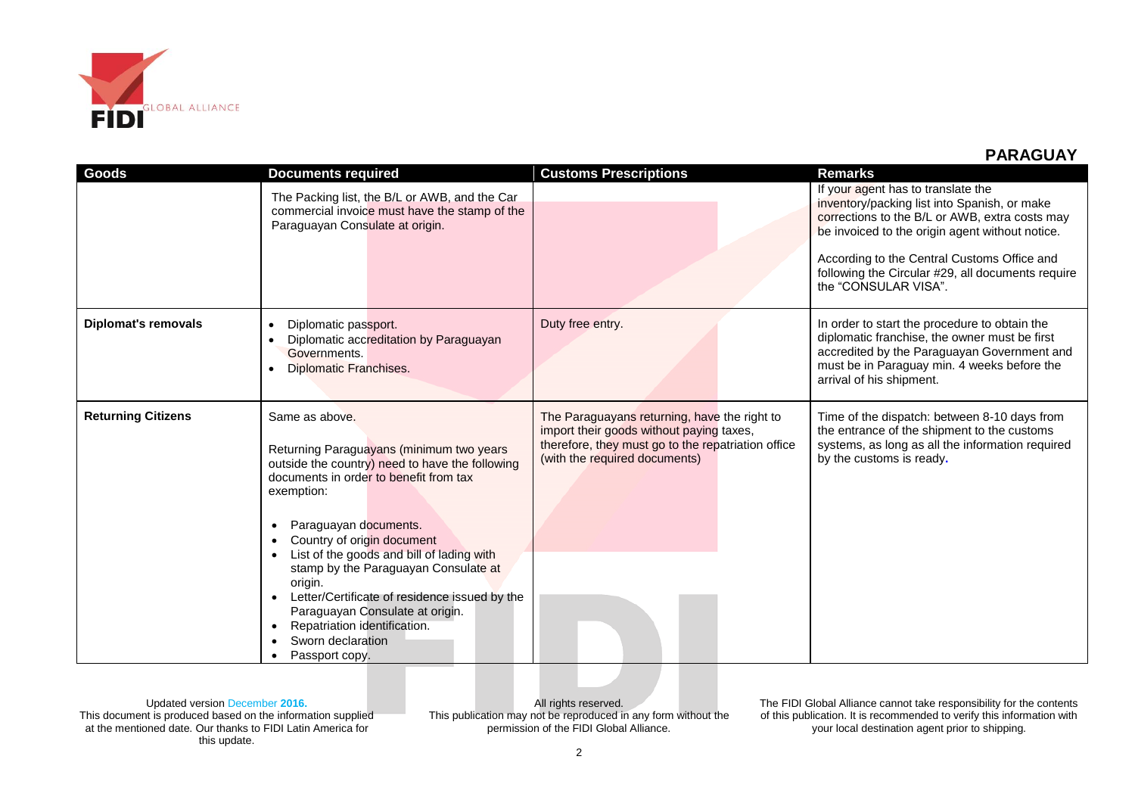

| <b>Goods</b>               | <b>Documents required</b><br>The Packing list, the B/L or AWB, and the Car<br>commercial invoice must have the stamp of the<br>Paraguayan Consulate at origin.                                                                                                                                                                                                                                                                                                                          | <b>Customs Prescriptions</b>                                                                                                                                                    | <b>Remarks</b><br>If your agent has to translate the<br>inventory/packing list into Spanish, or make<br>corrections to the B/L or AWB, extra costs may<br>be invoiced to the origin agent without notice.<br>According to the Central Customs Office and<br>following the Circular #29, all documents require<br>the "CONSULAR VISA". |
|----------------------------|-----------------------------------------------------------------------------------------------------------------------------------------------------------------------------------------------------------------------------------------------------------------------------------------------------------------------------------------------------------------------------------------------------------------------------------------------------------------------------------------|---------------------------------------------------------------------------------------------------------------------------------------------------------------------------------|---------------------------------------------------------------------------------------------------------------------------------------------------------------------------------------------------------------------------------------------------------------------------------------------------------------------------------------|
| <b>Diplomat's removals</b> | Diplomatic passport.<br>$\bullet$<br>Diplomatic accreditation by Paraguayan<br>Governments.<br>Diplomatic Franchises.                                                                                                                                                                                                                                                                                                                                                                   | Duty free entry.                                                                                                                                                                | In order to start the procedure to obtain the<br>diplomatic franchise, the owner must be first<br>accredited by the Paraguayan Government and<br>must be in Paraguay min. 4 weeks before the<br>arrival of his shipment.                                                                                                              |
| <b>Returning Citizens</b>  | Same as above.<br>Returning Paraguayans (minimum two years<br>outside the country) need to have the following<br>documents in order to benefit from tax<br>exemption:<br>Paraguayan documents.<br>Country of origin document<br>List of the goods and bill of lading with<br>stamp by the Paraguayan Consulate at<br>origin.<br>Letter/Certificate of residence issued by the<br>Paraguayan Consulate at origin.<br>Repatriation identification.<br>Sworn declaration<br>Passport copy. | The Paraguayans returning, have the right to<br>import their goods without paying taxes,<br>therefore, they must go to the repatriation office<br>(with the required documents) | Time of the dispatch: between 8-10 days from<br>the entrance of the shipment to the customs<br>systems, as long as all the information required<br>by the customs is ready.                                                                                                                                                           |

Updated version December **2016.** This document is produced based on the information supplied at the mentioned date. Our thanks to FIDI Latin America for this update.

All rights reserved. This publication may not be reproduced in any form without the permission of the FIDI Global Alliance.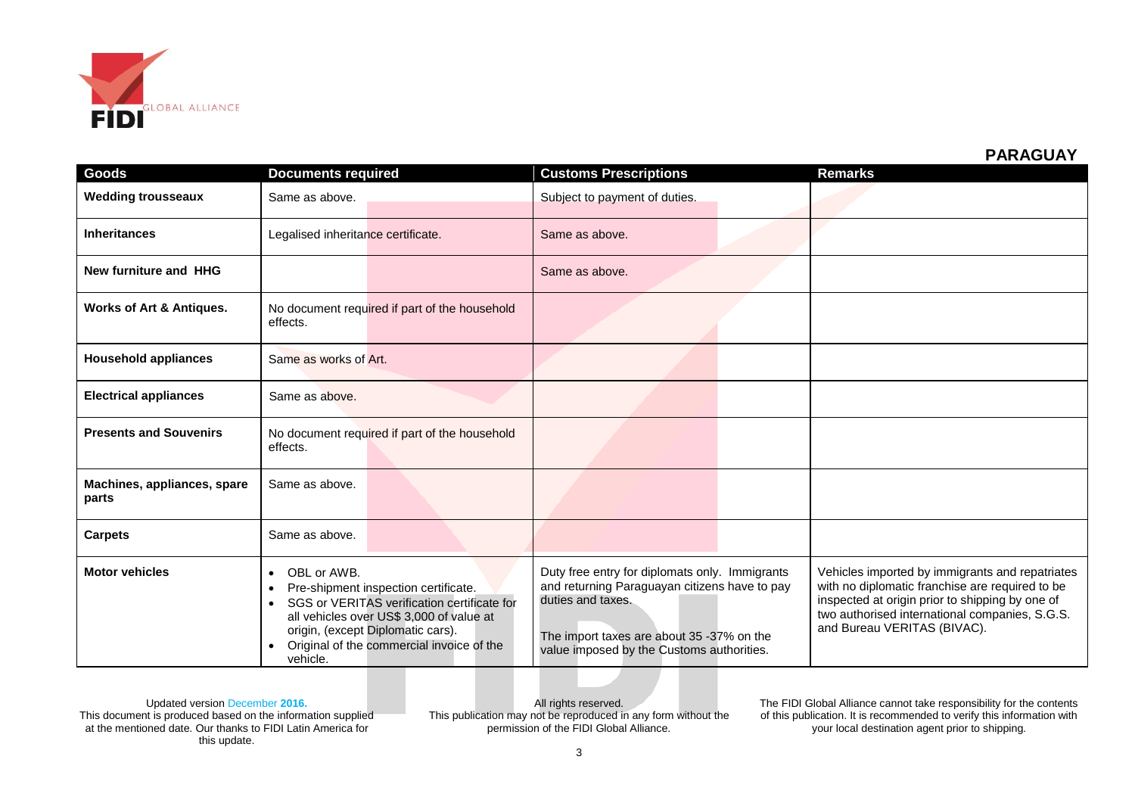

| Goods                                | <b>Documents required</b>                                                                                                                                                                                                                                 | <b>Customs Prescriptions</b>                                                                                                                                                                                   | <b>Remarks</b>                                                                                                                                                                                                                         |
|--------------------------------------|-----------------------------------------------------------------------------------------------------------------------------------------------------------------------------------------------------------------------------------------------------------|----------------------------------------------------------------------------------------------------------------------------------------------------------------------------------------------------------------|----------------------------------------------------------------------------------------------------------------------------------------------------------------------------------------------------------------------------------------|
| <b>Wedding trousseaux</b>            | Same as above.                                                                                                                                                                                                                                            | Subject to payment of duties.                                                                                                                                                                                  |                                                                                                                                                                                                                                        |
| <b>Inheritances</b>                  | Legalised inheritance certificate.                                                                                                                                                                                                                        | Same as above.                                                                                                                                                                                                 |                                                                                                                                                                                                                                        |
| New furniture and HHG                |                                                                                                                                                                                                                                                           | Same as above.                                                                                                                                                                                                 |                                                                                                                                                                                                                                        |
| Works of Art & Antiques.             | No document required if part of the household<br>effects.                                                                                                                                                                                                 |                                                                                                                                                                                                                |                                                                                                                                                                                                                                        |
| <b>Household appliances</b>          | Same as works of Art.                                                                                                                                                                                                                                     |                                                                                                                                                                                                                |                                                                                                                                                                                                                                        |
| <b>Electrical appliances</b>         | Same as above.                                                                                                                                                                                                                                            |                                                                                                                                                                                                                |                                                                                                                                                                                                                                        |
| <b>Presents and Souvenirs</b>        | No document required if part of the household<br>effects.                                                                                                                                                                                                 |                                                                                                                                                                                                                |                                                                                                                                                                                                                                        |
| Machines, appliances, spare<br>parts | Same as above.                                                                                                                                                                                                                                            |                                                                                                                                                                                                                |                                                                                                                                                                                                                                        |
| <b>Carpets</b>                       | Same as above.                                                                                                                                                                                                                                            |                                                                                                                                                                                                                |                                                                                                                                                                                                                                        |
| <b>Motor vehicles</b>                | OBL or AWB.<br>$\bullet$<br>Pre-shipment inspection certificate.<br>SGS or VERITAS verification certificate for<br>all vehicles over US\$ 3,000 of value at<br>origin, (except Diplomatic cars).<br>Original of the commercial invoice of the<br>vehicle. | Duty free entry for diplomats only. Immigrants<br>and returning Paraguayan citizens have to pay<br>duties and taxes.<br>The import taxes are about 35 -37% on the<br>value imposed by the Customs authorities. | Vehicles imported by immigrants and repatriates<br>with no diplomatic franchise are required to be<br>inspected at origin prior to shipping by one of<br>two authorised international companies, S.G.S.<br>and Bureau VERITAS (BIVAC). |

Updated version December **2016.** This document is produced based on the information supplied at the mentioned date. Our thanks to FIDI Latin America for this update.

All rights reserved. This publication may not be reproduced in any form without the permission of the FIDI Global Alliance.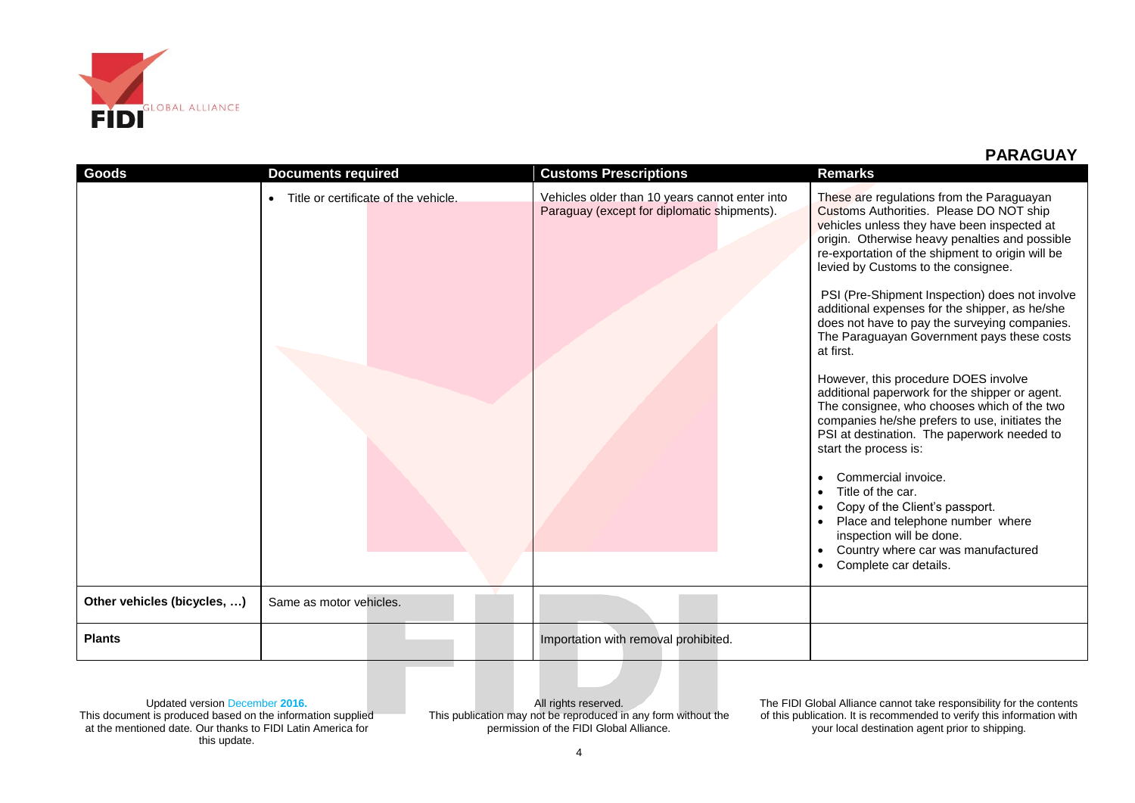

| <b>Goods</b>                | <b>Documents required</b>            | <b>Customs Prescriptions</b>                                                                  | <b>Remarks</b>                                                                                                                                                                                                                                                                                                                                                                                                                                                                                                                                                                                                                                                                                                                                                                                                                                                                                                                                                                   |
|-----------------------------|--------------------------------------|-----------------------------------------------------------------------------------------------|----------------------------------------------------------------------------------------------------------------------------------------------------------------------------------------------------------------------------------------------------------------------------------------------------------------------------------------------------------------------------------------------------------------------------------------------------------------------------------------------------------------------------------------------------------------------------------------------------------------------------------------------------------------------------------------------------------------------------------------------------------------------------------------------------------------------------------------------------------------------------------------------------------------------------------------------------------------------------------|
|                             | Title or certificate of the vehicle. | Vehicles older than 10 years cannot enter into<br>Paraguay (except for diplomatic shipments). | These are regulations from the Paraguayan<br>Customs Authorities. Please DO NOT ship<br>vehicles unless they have been inspected at<br>origin. Otherwise heavy penalties and possible<br>re-exportation of the shipment to origin will be<br>levied by Customs to the consignee.<br>PSI (Pre-Shipment Inspection) does not involve<br>additional expenses for the shipper, as he/she<br>does not have to pay the surveying companies.<br>The Paraguayan Government pays these costs<br>at first.<br>However, this procedure DOES involve<br>additional paperwork for the shipper or agent.<br>The consignee, who chooses which of the two<br>companies he/she prefers to use, initiates the<br>PSI at destination. The paperwork needed to<br>start the process is:<br>Commercial invoice.<br>Title of the car.<br>Copy of the Client's passport.<br>Place and telephone number where<br>inspection will be done.<br>Country where car was manufactured<br>Complete car details. |
| Other vehicles (bicycles, ) | Same as motor vehicles.              |                                                                                               |                                                                                                                                                                                                                                                                                                                                                                                                                                                                                                                                                                                                                                                                                                                                                                                                                                                                                                                                                                                  |
| <b>Plants</b>               |                                      | Importation with removal prohibited.                                                          |                                                                                                                                                                                                                                                                                                                                                                                                                                                                                                                                                                                                                                                                                                                                                                                                                                                                                                                                                                                  |

Updated version December **2016.** This document is produced based on the information supplied at the mentioned date. Our thanks to FIDI Latin America for this update.

All rights reserved. This publication may not be reproduced in any form without the permission of the FIDI Global Alliance.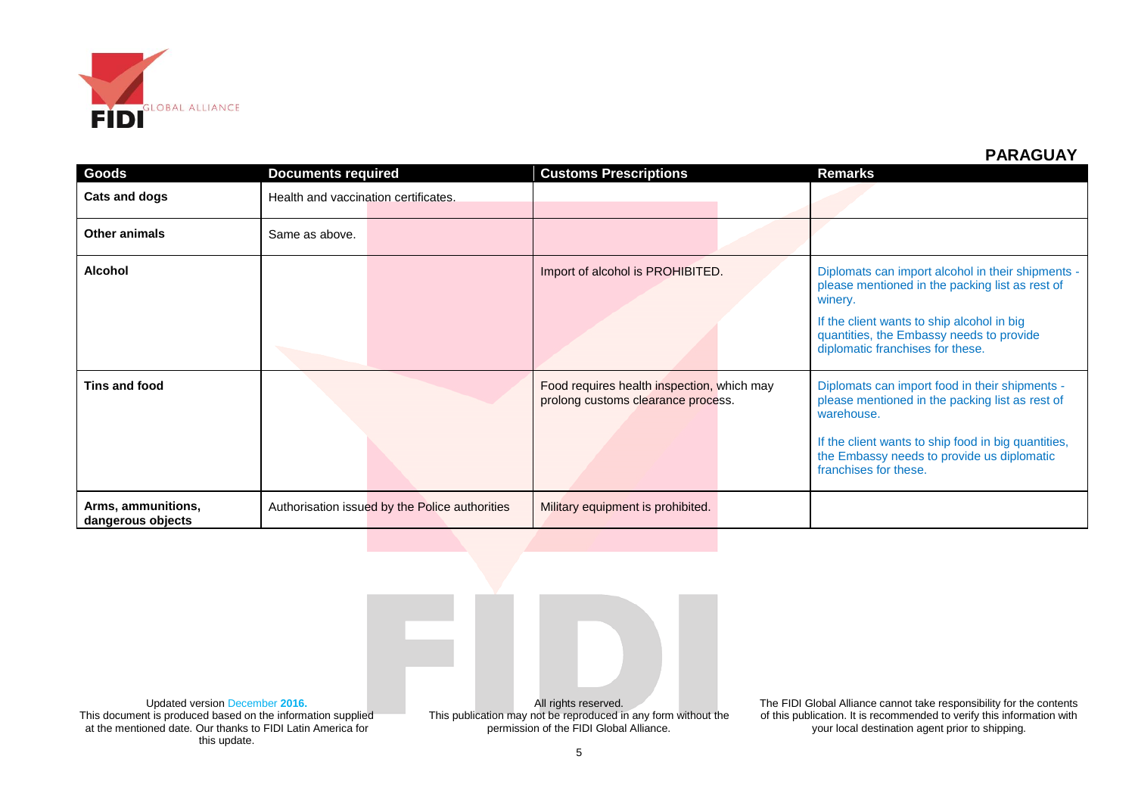

| Goods                                   | <b>Documents required</b>            |                                                | <b>Customs Prescriptions</b>                                                     | <b>Remarks</b>                                                                                                                                                                                                                                |
|-----------------------------------------|--------------------------------------|------------------------------------------------|----------------------------------------------------------------------------------|-----------------------------------------------------------------------------------------------------------------------------------------------------------------------------------------------------------------------------------------------|
| Cats and dogs                           | Health and vaccination certificates. |                                                |                                                                                  |                                                                                                                                                                                                                                               |
| <b>Other animals</b>                    | Same as above.                       |                                                |                                                                                  |                                                                                                                                                                                                                                               |
| <b>Alcohol</b>                          |                                      |                                                | Import of alcohol is PROHIBITED.                                                 | Diplomats can import alcohol in their shipments -<br>please mentioned in the packing list as rest of<br>winery.<br>If the client wants to ship alcohol in big<br>quantities, the Embassy needs to provide<br>diplomatic franchises for these. |
| Tins and food                           |                                      |                                                | Food requires health inspection, which may<br>prolong customs clearance process. | Diplomats can import food in their shipments -<br>please mentioned in the packing list as rest of<br>warehouse.<br>If the client wants to ship food in big quantities,<br>the Embassy needs to provide us diplomatic<br>franchises for these. |
| Arms, ammunitions,<br>dangerous objects |                                      | Authorisation issued by the Police authorities | Military equipment is prohibited.                                                |                                                                                                                                                                                                                                               |

Updated version December **2016.** This document is produced based on the information supplied at the mentioned date. Our thanks to FIDI Latin America for this update.

All rights reserved. This publication may not be reproduced in any form without the permission of the FIDI Global Alliance.